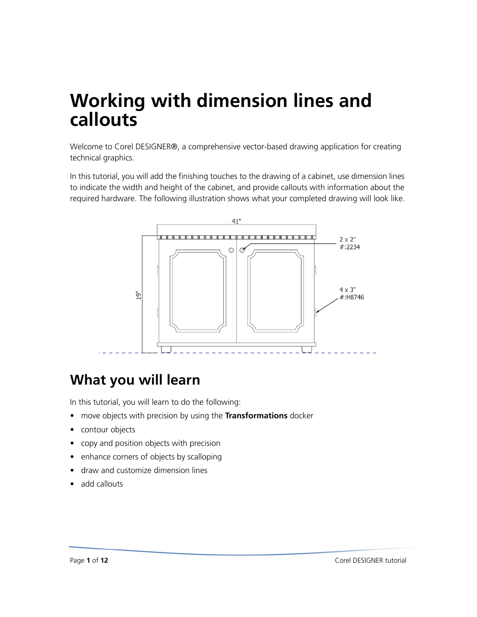# **Working with dimension lines and callouts**

Welcome to Corel DESIGNER®, a comprehensive vector-based drawing application for creating technical graphics.

In this tutorial, you will add the finishing touches to the drawing of a cabinet, use dimension lines to indicate the width and height of the cabinet, and provide callouts with information about the required hardware. The following illustration shows what your completed drawing will look like.



### **What you will learn**

In this tutorial, you will learn to do the following:

- move objects with precision by using the **Transformations** docker
- contour objects
- copy and position objects with precision
- enhance corners of objects by scalloping
- draw and customize dimension lines
- add callouts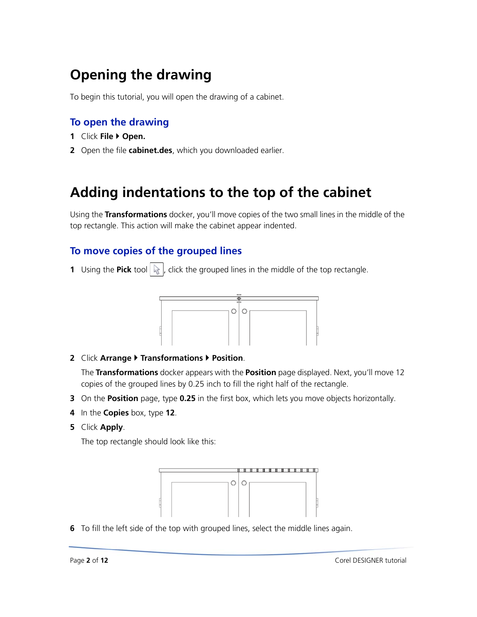## **Opening the drawing**

To begin this tutorial, you will open the drawing of a cabinet.

#### **To open the drawing**

- **1** Click **File Open.**
- **2** Open the file **cabinet.des**, which you downloaded earlier.

### **Adding indentations to the top of the cabinet**

Using the **Transformations** docker, you'll move copies of the two small lines in the middle of the top rectangle. This action will make the cabinet appear indented.

#### **To move copies of the grouped lines**

**1** Using the **Pick** tool  $\left|\mathbf{r}\right|$ , click the grouped lines in the middle of the top rectangle.



**2** Click **Arrange Transformations Position**.

The **Transformations** docker appears with the **Position** page displayed. Next, you'll move 12 copies of the grouped lines by 0.25 inch to fill the right half of the rectangle.

- **3** On the **Position** page, type **0.25** in the first box, which lets you move objects horizontally.
- **4** In the **Copies** box, type **12**.
- **5** Click **Apply**.

The top rectangle should look like this:



**6** To fill the left side of the top with grouped lines, select the middle lines again.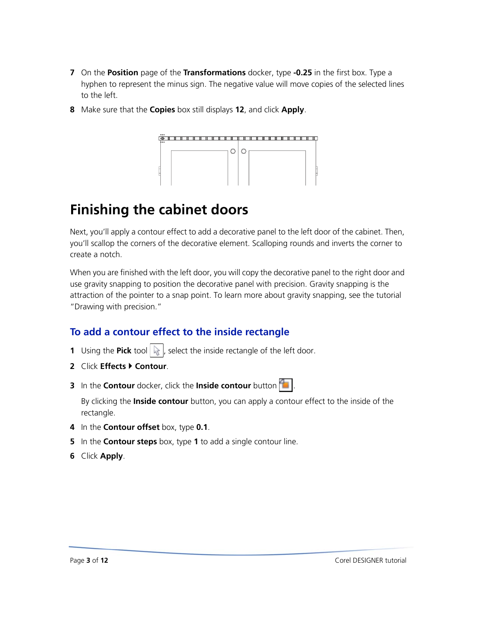- **7** On the **Position** page of the **Transformations** docker, type **-0.25** in the first box. Type a hyphen to represent the minus sign. The negative value will move copies of the selected lines to the left.
- **8** Make sure that the **Copies** box still displays **12**, and click **Apply**.



### **Finishing the cabinet doors**

Next, you'll apply a contour effect to add a decorative panel to the left door of the cabinet. Then, you'll scallop the corners of the decorative element. Scalloping rounds and inverts the corner to create a notch.

When you are finished with the left door, you will copy the decorative panel to the right door and use gravity snapping to position the decorative panel with precision. Gravity snapping is the attraction of the pointer to a snap point. To learn more about gravity snapping, see the tutorial "Drawing with precision."

### **To add a contour effect to the inside rectangle**

- **1** Using the **Pick** tool  $\left|\mathbf{r}\right|$ , select the inside rectangle of the left door.
- **2** Click **Effects Contour**.
- **3** In the **Contour** docker, click the **Inside contour** button  $\left| \cdot \right|$

By clicking the **Inside contour** button, you can apply a contour effect to the inside of the rectangle.

- **4** In the **Contour offset** box, type **0.1**.
- **5** In the **Contour steps** box, type **1** to add a single contour line.
- **6** Click **Apply**.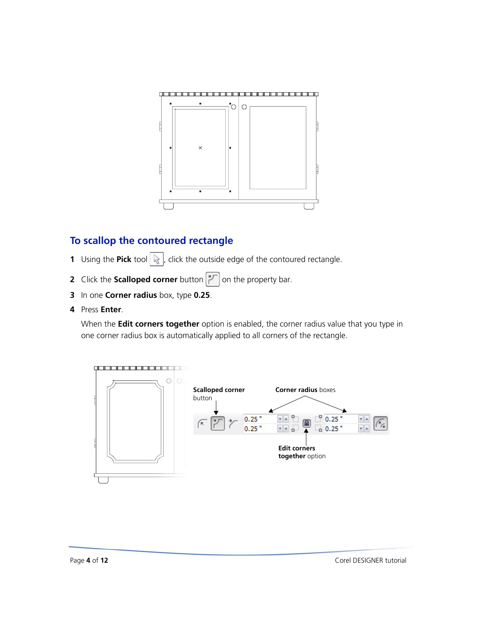

### **To scallop the contoured rectangle**

- **1** Using the **Pick** tool  $\left[\frac{1}{N}\right]$ , click the outside edge of the contoured rectangle.
- **2** Click the **Scalloped corner** button  $\boxed{1}$  on the property bar.
- **3** In one **Corner radius** box, type **0.25**.
- **4** Press **Enter**.

When the **Edit corners together** option is enabled, the corner radius value that you type in one corner radius box is automatically applied to all corners of the rectangle.

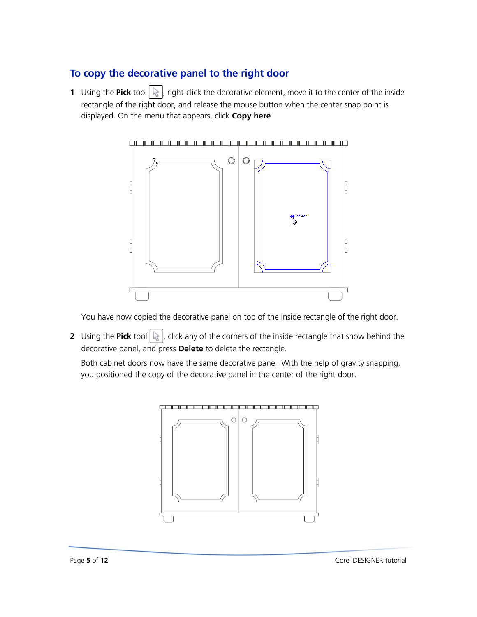### **To copy the decorative panel to the right door**

**1** Using the **Pick** tool  $\left|\mathbf{k}\right|$ , right-click the decorative element, move it to the center of the inside rectangle of the right door, and release the mouse button when the center snap point is displayed. On the menu that appears, click **Copy here**.



You have now copied the decorative panel on top of the inside rectangle of the right door.

**2** Using the **Pick** tool  $\left|\frac{1}{N}\right|$ , click any of the corners of the inside rectangle that show behind the decorative panel, and press **Delete** to delete the rectangle.

Both cabinet doors now have the same decorative panel. With the help of gravity snapping, you positioned the copy of the decorative panel in the center of the right door.

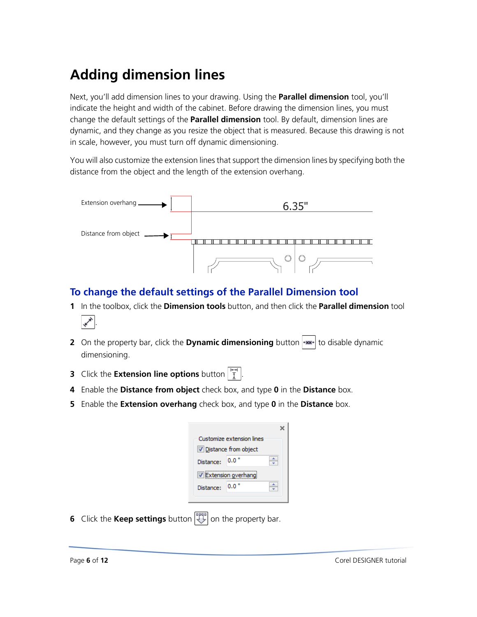## **Adding dimension lines**

Next, you'll add dimension lines to your drawing. Using the **Parallel dimension** tool, you'll indicate the height and width of the cabinet. Before drawing the dimension lines, you must change the default settings of the **Parallel dimension** tool. By default, dimension lines are dynamic, and they change as you resize the object that is measured. Because this drawing is not in scale, however, you must turn off dynamic dimensioning.

You will also customize the extension lines that support the dimension lines by specifying both the distance from the object and the length of the extension overhang.



### **To change the default settings of the Parallel Dimension tool**

- **1** In the toolbox, click the **Dimension tools** button, and then click the **Parallel dimension** tool
	- ≮∕∗

.

- **2** On the property bar, click the **Dynamic dimensioning** button  $\leftarrow$  to disable dynamic dimensioning.
- **3** Click the **Extension line options** button  $\left[\frac{H+H}{\overline{A}}\right]$ .
- **4** Enable the **Distance from object** check box, and type **0** in the **Distance** box.
- **5** Enable the **Extension overhang** check box, and type **0** in the **Distance** box.

| Customize extension lines<br>Distance from object |  |
|---------------------------------------------------|--|
|                                                   |  |
|                                                   |  |
| 0.0                                               |  |
| Extension overhang                                |  |
|                                                   |  |
|                                                   |  |

**6** Click the **Keep settings** button  $\left[\begin{matrix} 1 & 0 \\ 0 & 0 \end{matrix}\right]$  on the property bar.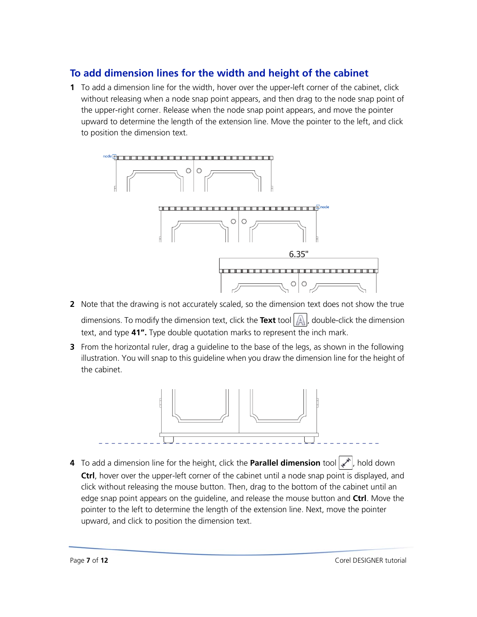### **To add dimension lines for the width and height of the cabinet**

**1** To add a dimension line for the width, hover over the upper-left corner of the cabinet, click without releasing when a node snap point appears, and then drag to the node snap point of the upper-right corner. Release when the node snap point appears, and move the pointer upward to determine the length of the extension line. Move the pointer to the left, and click to position the dimension text.



- **2** Note that the drawing is not accurately scaled, so the dimension text does not show the true dimensions. To modify the dimension text, click the **Text** tool  $\mathbb{A}$ , double-click the dimension text, and type **41".** Type double quotation marks to represent the inch mark.
- **3** From the horizontal ruler, drag a guideline to the base of the legs, as shown in the following illustration. You will snap to this guideline when you draw the dimension line for the height of the cabinet.



4 To add a dimension line for the height, click the **Parallel dimension** tool  $\mathbf{r}$ , hold down **Ctrl**, hover over the upper-left corner of the cabinet until a node snap point is displayed, and click without releasing the mouse button. Then, drag to the bottom of the cabinet until an edge snap point appears on the guideline, and release the mouse button and **Ctrl**. Move the pointer to the left to determine the length of the extension line. Next, move the pointer upward, and click to position the dimension text.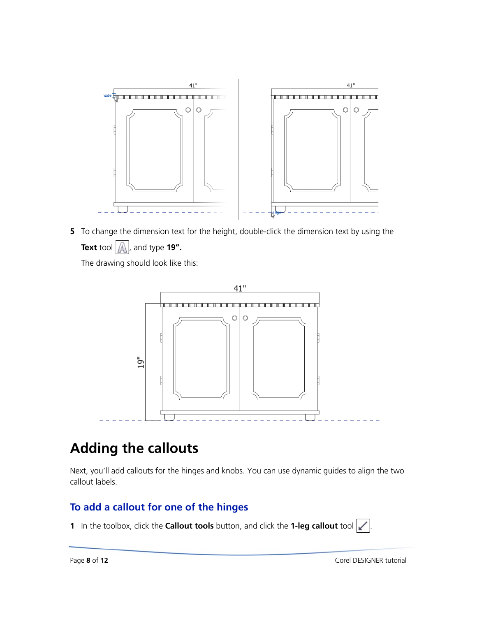

**5** To change the dimension text for the height, double-click the dimension text by using the **Text** tool  $\left| \bigwedge_{n=1}^{\infty} \right|$ , and type **19".** 

The drawing should look like this:



### **Adding the callouts**

Next, you'll add callouts for the hinges and knobs. You can use dynamic guides to align the two callout labels.

#### **To add a callout for one of the hinges**

1 In the toolbox, click the **Callout tools** button, and click the **1-leg callout** tool  $\swarrow$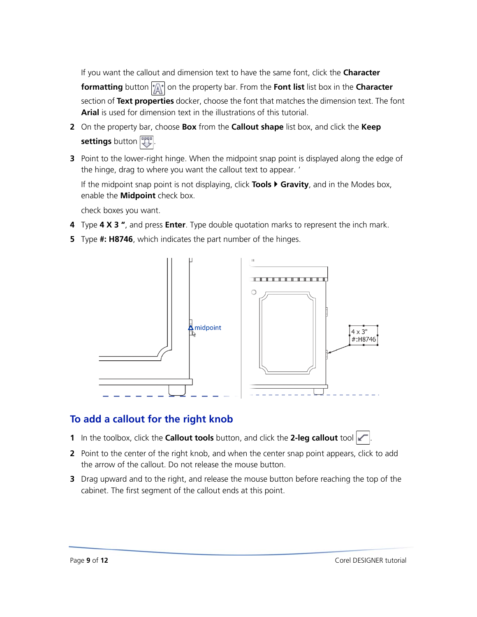If you want the callout and dimension text to have the same font, click the **Character** 

**formatting** button  $|\mathbf{x}|$  on the property bar. From the **Font list** list box in the **Character** section of **Text properties** docker, choose the font that matches the dimension text. The font **Arial** is used for dimension text in the illustrations of this tutorial.

- **2** On the property bar, choose **Box** from the **Callout shape** list box, and click the **Keep settings** button **!!!**
- **3** Point to the lower-right hinge. When the midpoint snap point is displayed along the edge of the hinge, drag to where you want the callout text to appear. '

If the midpoint snap point is not displaying, click **Tools Gravity**, and in the Modes box, enable the **Midpoint** check box.

check boxes you want.

- **4** Type **4 X 3 "**, and press **Enter**. Type double quotation marks to represent the inch mark.
- **5** Type **#: H8746**, which indicates the part number of the hinges.



### **To add a callout for the right knob**

- **1** In the toolbox, click the **Callout tools** button, and click the 2-leg callout tool
- **2** Point to the center of the right knob, and when the center snap point appears, click to add the arrow of the callout. Do not release the mouse button.
- **3** Drag upward and to the right, and release the mouse button before reaching the top of the cabinet. The first segment of the callout ends at this point.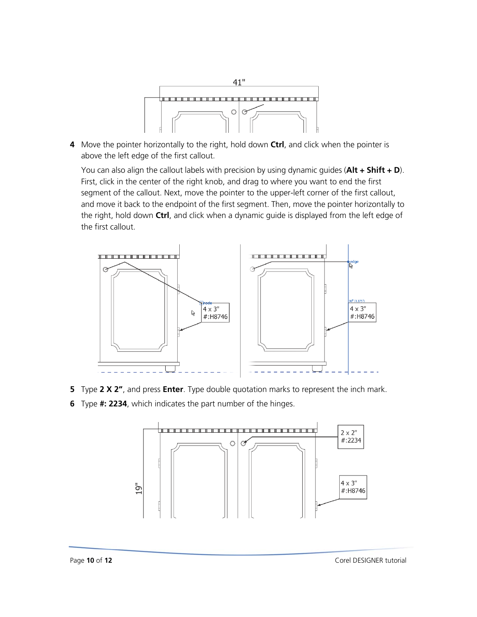

**4** Move the pointer horizontally to the right, hold down **Ctrl**, and click when the pointer is above the left edge of the first callout.

You can also align the callout labels with precision by using dynamic guides (**Alt + Shift + D**). First, click in the center of the right knob, and drag to where you want to end the first segment of the callout. Next, move the pointer to the upper-left corner of the first callout, and move it back to the endpoint of the first segment. Then, move the pointer horizontally to the right, hold down **Ctrl**, and click when a dynamic guide is displayed from the left edge of the first callout.



- **5** Type **2 X 2"**, and press **Enter**. Type double quotation marks to represent the inch mark.
- **6** Type **#: 2234**, which indicates the part number of the hinges.

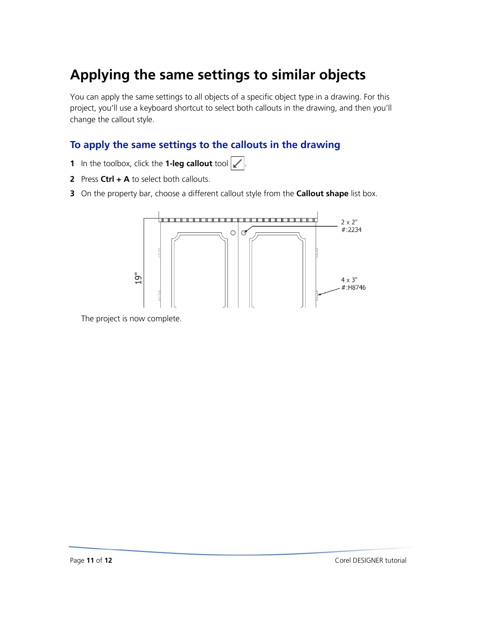## **Applying the same settings to similar objects**

You can apply the same settings to all objects of a specific object type in a drawing. For this project, you'll use a keyboard shortcut to select both callouts in the drawing, and then you'll change the callout style.

### **To apply the same settings to the callouts in the drawing**

- **1** In the toolbox, click the **1-leg callout** tool  $\mathbf{X}$
- **2** Press **Ctrl + A** to select both callouts.
- **3** On the property bar, choose a different callout style from the **Callout shape** list box.



The project is now complete.